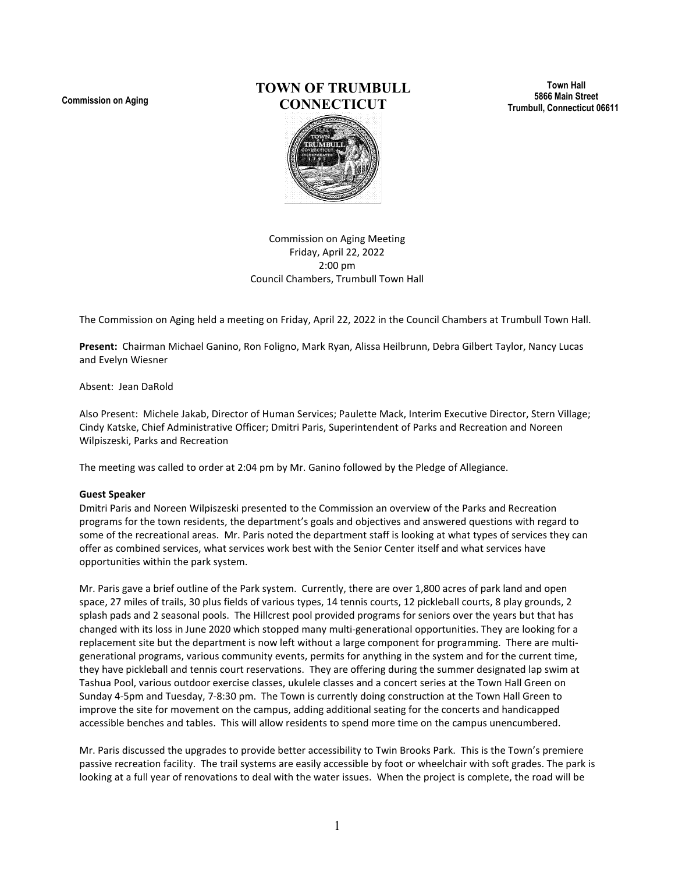**Commission on Aging**

# **TOWN OF TRUMBULL CONNECTICUT**

**Town Hall 5866 Main Street Trumbull, Connecticut 06611**



Commission on Aging Meeting Friday, April 22, 2022 2:00 pm Council Chambers, Trumbull Town Hall

The Commission on Aging held a meeting on Friday, April 22, 2022 in the Council Chambers at Trumbull Town Hall.

**Present:** Chairman Michael Ganino, Ron Foligno, Mark Ryan, Alissa Heilbrunn, Debra Gilbert Taylor, Nancy Lucas and Evelyn Wiesner

Absent: Jean DaRold

Also Present: Michele Jakab, Director of Human Services; Paulette Mack, Interim Executive Director, Stern Village; Cindy Katske, Chief Administrative Officer; Dmitri Paris, Superintendent of Parks and Recreation and Noreen Wilpiszeski, Parks and Recreation

The meeting was called to order at 2:04 pm by Mr. Ganino followed by the Pledge of Allegiance.

#### **Guest Speaker**

Dmitri Paris and Noreen Wilpiszeski presented to the Commission an overview of the Parks and Recreation programs for the town residents, the department's goals and objectives and answered questions with regard to some of the recreational areas. Mr. Paris noted the department staff is looking at what types of services they can offer as combined services, what services work best with the Senior Center itself and what services have opportunities within the park system.

Mr. Paris gave a brief outline of the Park system. Currently, there are over 1,800 acres of park land and open space, 27 miles of trails, 30 plus fields of various types, 14 tennis courts, 12 pickleball courts, 8 play grounds, 2 splash pads and 2 seasonal pools. The Hillcrest pool provided programs for seniors over the years but that has changed with its loss in June 2020 which stopped many multi-generational opportunities. They are looking for a replacement site but the department is now left without a large component for programming. There are multigenerational programs, various community events, permits for anything in the system and for the current time, they have pickleball and tennis court reservations. They are offering during the summer designated lap swim at Tashua Pool, various outdoor exercise classes, ukulele classes and a concert series at the Town Hall Green on Sunday 4-5pm and Tuesday, 7-8:30 pm. The Town is currently doing construction at the Town Hall Green to improve the site for movement on the campus, adding additional seating for the concerts and handicapped accessible benches and tables. This will allow residents to spend more time on the campus unencumbered.

Mr. Paris discussed the upgrades to provide better accessibility to Twin Brooks Park. This is the Town's premiere passive recreation facility. The trail systems are easily accessible by foot or wheelchair with soft grades. The park is looking at a full year of renovations to deal with the water issues. When the project is complete, the road will be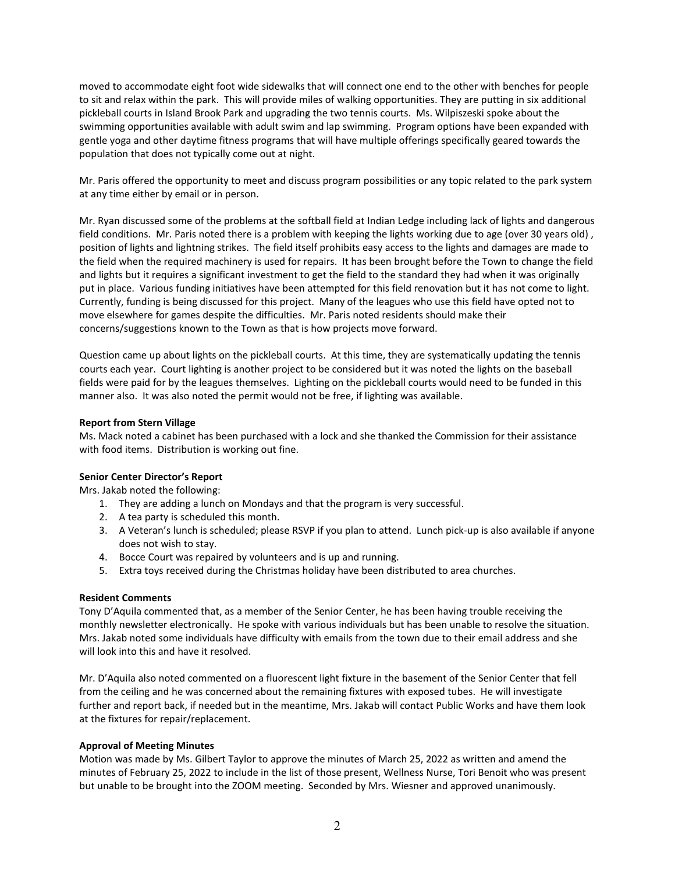moved to accommodate eight foot wide sidewalks that will connect one end to the other with benches for people to sit and relax within the park. This will provide miles of walking opportunities. They are putting in six additional pickleball courts in Island Brook Park and upgrading the two tennis courts. Ms. Wilpiszeski spoke about the swimming opportunities available with adult swim and lap swimming. Program options have been expanded with gentle yoga and other daytime fitness programs that will have multiple offerings specifically geared towards the population that does not typically come out at night.

Mr. Paris offered the opportunity to meet and discuss program possibilities or any topic related to the park system at any time either by email or in person.

Mr. Ryan discussed some of the problems at the softball field at Indian Ledge including lack of lights and dangerous field conditions. Mr. Paris noted there is a problem with keeping the lights working due to age (over 30 years old), position of lights and lightning strikes. The field itself prohibits easy access to the lights and damages are made to the field when the required machinery is used for repairs. It has been brought before the Town to change the field and lights but it requires a significant investment to get the field to the standard they had when it was originally put in place. Various funding initiatives have been attempted for this field renovation but it has not come to light. Currently, funding is being discussed for this project. Many of the leagues who use this field have opted not to move elsewhere for games despite the difficulties. Mr. Paris noted residents should make their concerns/suggestions known to the Town as that is how projects move forward.

Question came up about lights on the pickleball courts. At this time, they are systematically updating the tennis courts each year. Court lighting is another project to be considered but it was noted the lights on the baseball fields were paid for by the leagues themselves. Lighting on the pickleball courts would need to be funded in this manner also. It was also noted the permit would not be free, if lighting was available.

#### **Report from Stern Village**

Ms. Mack noted a cabinet has been purchased with a lock and she thanked the Commission for their assistance with food items. Distribution is working out fine.

# **Senior Center Director's Report**

Mrs. Jakab noted the following:

- 1. They are adding a lunch on Mondays and that the program is very successful.
- 2. A tea party is scheduled this month.
- 3. A Veteran's lunch is scheduled; please RSVP if you plan to attend. Lunch pick-up is also available if anyone does not wish to stay.
- 4. Bocce Court was repaired by volunteers and is up and running.
- 5. Extra toys received during the Christmas holiday have been distributed to area churches.

#### **Resident Comments**

Tony D'Aquila commented that, as a member of the Senior Center, he has been having trouble receiving the monthly newsletter electronically. He spoke with various individuals but has been unable to resolve the situation. Mrs. Jakab noted some individuals have difficulty with emails from the town due to their email address and she will look into this and have it resolved.

Mr. D'Aquila also noted commented on a fluorescent light fixture in the basement of the Senior Center that fell from the ceiling and he was concerned about the remaining fixtures with exposed tubes. He will investigate further and report back, if needed but in the meantime, Mrs. Jakab will contact Public Works and have them look at the fixtures for repair/replacement.

# **Approval of Meeting Minutes**

Motion was made by Ms. Gilbert Taylor to approve the minutes of March 25, 2022 as written and amend the minutes of February 25, 2022 to include in the list of those present, Wellness Nurse, Tori Benoit who was present but unable to be brought into the ZOOM meeting. Seconded by Mrs. Wiesner and approved unanimously.